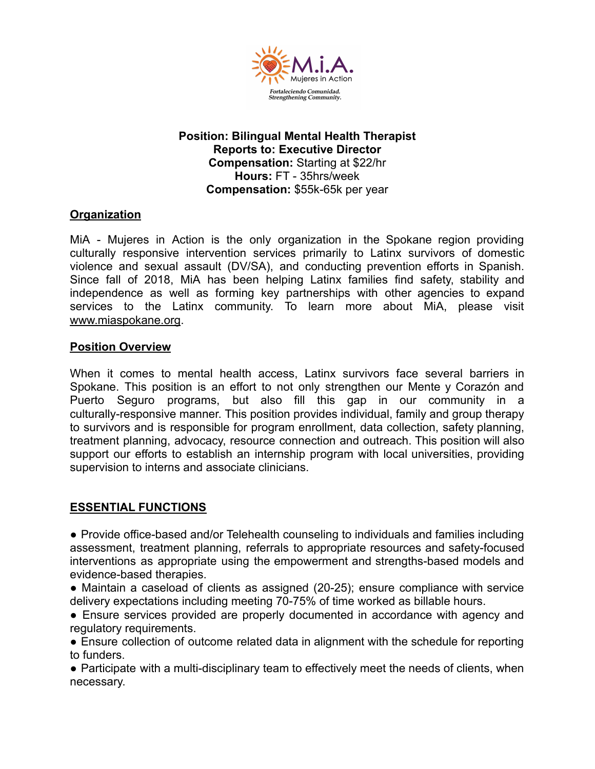

### **Position: Bilingual Mental Health Therapist Reports to: Executive Director Compensation:** Starting at \$22/hr **Hours:** FT - 35hrs/week **Compensation:** \$55k-65k per year

## **Organization**

MiA - Mujeres in Action is the only organization in the Spokane region providing culturally responsive intervention services primarily to Latinx survivors of domestic violence and sexual assault (DV/SA), and conducting prevention efforts in Spanish. Since fall of 2018, MiA has been helping Latinx families find safety, stability and independence as well as forming key partnerships with other agencies to expand services to the Latinx community. To learn more about MiA, please visit [www.miaspokane.org](http://www.miaspokane.org).

#### **Position Overview**

When it comes to mental health access, Latinx survivors face several barriers in Spokane. This position is an effort to not only strengthen our Mente y Corazón and Puerto Seguro programs, but also fill this gap in our community in a culturally-responsive manner. This position provides individual, family and group therapy to survivors and is responsible for program enrollment, data collection, safety planning, treatment planning, advocacy, resource connection and outreach. This position will also support our efforts to establish an internship program with local universities, providing supervision to interns and associate clinicians.

#### **ESSENTIAL FUNCTIONS**

● Provide office-based and/or Telehealth counseling to individuals and families including assessment, treatment planning, referrals to appropriate resources and safety-focused interventions as appropriate using the empowerment and strengths-based models and evidence-based therapies.

• Maintain a caseload of clients as assigned (20-25); ensure compliance with service delivery expectations including meeting 70-75% of time worked as billable hours.

● Ensure services provided are properly documented in accordance with agency and regulatory requirements.

• Ensure collection of outcome related data in alignment with the schedule for reporting to funders.

• Participate with a multi-disciplinary team to effectively meet the needs of clients, when necessary.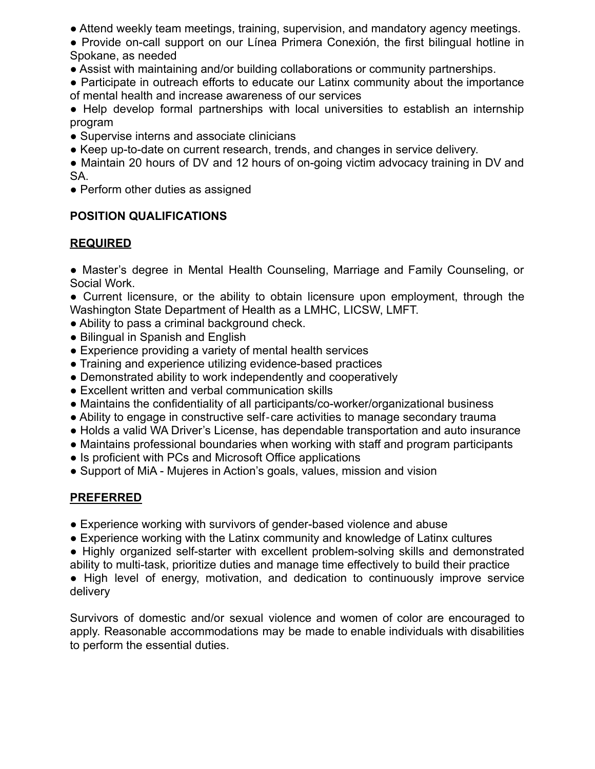● Attend weekly team meetings, training, supervision, and mandatory agency meetings.

● Provide on-call support on our Línea Primera Conexión, the first bilingual hotline in Spokane, as needed

● Assist with maintaining and/or building collaborations or community partnerships.

• Participate in outreach efforts to educate our Latinx community about the importance of mental health and increase awareness of our services

- Help develop formal partnerships with local universities to establish an internship program
- Supervise interns and associate clinicians
- Keep up-to-date on current research, trends, and changes in service delivery.
- Maintain 20 hours of DV and 12 hours of on-going victim advocacy training in DV and SA.
- Perform other duties as assigned

# **POSITION QUALIFICATIONS**

# **REQUIRED**

● Master's degree in Mental Health Counseling, Marriage and Family Counseling, or Social Work.

● Current licensure, or the ability to obtain licensure upon employment, through the Washington State Department of Health as a LMHC, LICSW, LMFT.

- Ability to pass a criminal background check.
- Bilingual in Spanish and English
- Experience providing a variety of mental health services
- Training and experience utilizing evidence-based practices
- Demonstrated ability to work independently and cooperatively
- Excellent written and verbal communication skills
- Maintains the confidentiality of all participants/co-worker/organizational business
- Ability to engage in constructive self-care activities to manage secondary trauma
- Holds a valid WA Driver's License, has dependable transportation and auto insurance
- Maintains professional boundaries when working with staff and program participants
- Is proficient with PCs and Microsoft Office applications
- Support of MiA Mujeres in Action's goals, values, mission and vision

# **PREFERRED**

- Experience working with survivors of gender-based violence and abuse
- Experience working with the Latinx community and knowledge of Latinx cultures
- Highly organized self-starter with excellent problem-solving skills and demonstrated ability to multi-task, prioritize duties and manage time effectively to build their practice

● High level of energy, motivation, and dedication to continuously improve service delivery

Survivors of domestic and/or sexual violence and women of color are encouraged to apply. Reasonable accommodations may be made to enable individuals with disabilities to perform the essential duties.